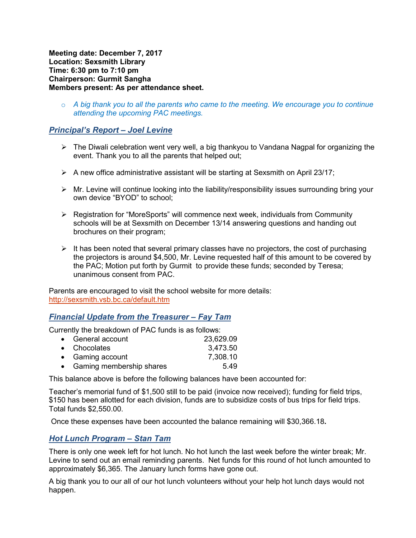**Meeting date: December 7, 2017 Location: Sexsmith Library Time: 6:30 pm to 7:10 pm Chairperson: Gurmit Sangha Members present: As per attendance sheet.** 

o *A big thank you to all the parents who came to the meeting. We encourage you to continue attending the upcoming PAC meetings.* 

## *Principal's Report – Joel Levine*

- $\triangleright$  The Diwali celebration went very well, a big thankyou to Vandana Nagpal for organizing the event. Thank you to all the parents that helped out;
- $\triangleright$  A new office administrative assistant will be starting at Sexsmith on April 23/17;
- $\triangleright$  Mr. Levine will continue looking into the liability/responsibility issues surrounding bring your own device "BYOD" to school;
- $\triangleright$  Registration for "MoreSports" will commence next week, individuals from Community schools will be at Sexsmith on December 13/14 answering questions and handing out brochures on their program;
- $\triangleright$  It has been noted that several primary classes have no projectors, the cost of purchasing the projectors is around \$4,500, Mr. Levine requested half of this amount to be covered by the PAC; Motion put forth by Gurmit to provide these funds; seconded by Teresa; unanimous consent from PAC.

Parents are encouraged to visit the school website for more details: http://sexsmith.vsb.bc.ca/default.htm

## *Financial Update from the Treasurer – Fay Tam*

Currently the breakdown of PAC funds is as follows:

| • General account          | 23,629.09 |
|----------------------------|-----------|
| • Chocolates               | 3,473.50  |
| • Gaming account           | 7,308.10  |
| • Gaming membership shares | 5.49      |

This balance above is before the following balances have been accounted for:

Teacher's memorial fund of \$1,500 still to be paid (invoice now received); funding for field trips, \$150 has been allotted for each division, funds are to subsidize costs of bus trips for field trips. Total funds \$2,550.00.

Once these expenses have been accounted the balance remaining will \$30,366.18**.**

## *Hot Lunch Program – Stan Tam*

There is only one week left for hot lunch. No hot lunch the last week before the winter break; Mr. Levine to send out an email reminding parents. Net funds for this round of hot lunch amounted to approximately \$6,365. The January lunch forms have gone out.

A big thank you to our all of our hot lunch volunteers without your help hot lunch days would not happen.